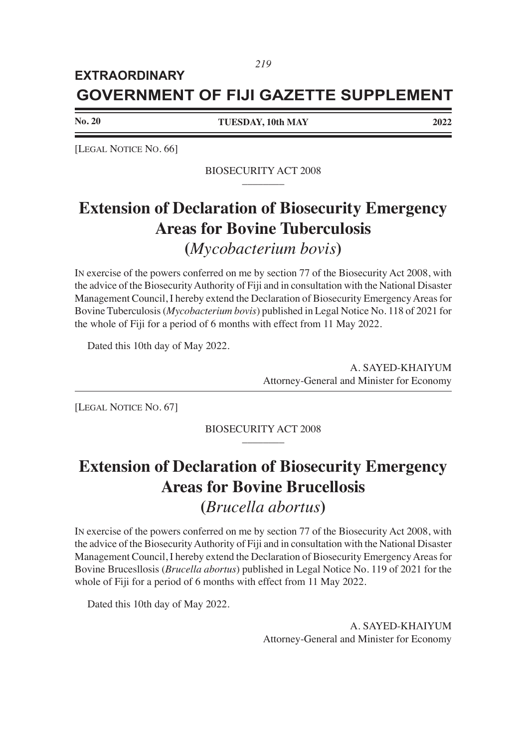### **GOVERNMENT OF FIJI GAZETTE SUPPLEMENT EXTRAORDINARY**

**No. 20**

**TUESDAY, 10th MAY 2022**

[LEGAL NOTICE NO. 66]

### BIOSECURITY ACT 2008 \_\_\_\_\_\_\_\_

## **Extension of Declaration of Biosecurity Emergency Areas for Bovine Tuberculosis**

**(***Mycobacterium bovis***)**

IN exercise of the powers conferred on me by section 77 of the Biosecurity Act 2008, with the advice of the Biosecurity Authority of Fiji and in consultation with the National Disaster Management Council, I hereby extend the Declaration of Biosecurity Emergency Areas for Bovine Tuberculosis (*Mycobacterium bovis*) published in Legal Notice No. 118 of 2021 for the whole of Fiji for a period of 6 months with effect from 11 May 2022.

Dated this 10th day of May 2022.

 A. SAYED-KHAIYUM Attorney-General and Minister for Economy

[LEGAL NOTICE NO. 67]

BIOSECURITY ACT 2008 \_\_\_\_\_\_\_\_

# **Extension of Declaration of Biosecurity Emergency Areas for Bovine Brucellosis**

### **(***Brucella abortus***)**

IN exercise of the powers conferred on me by section 77 of the Biosecurity Act 2008, with the advice of the Biosecurity Authority of Fiji and in consultation with the National Disaster Management Council, I hereby extend the Declaration of Biosecurity Emergency Areas for Bovine Brucesllosis (*Brucella abortus*) published in Legal Notice No. 119 of 2021 for the whole of Fiji for a period of 6 months with effect from 11 May 2022.

Dated this 10th day of May 2022.

 A. SAYED-KHAIYUM Attorney-General and Minister for Economy

*219*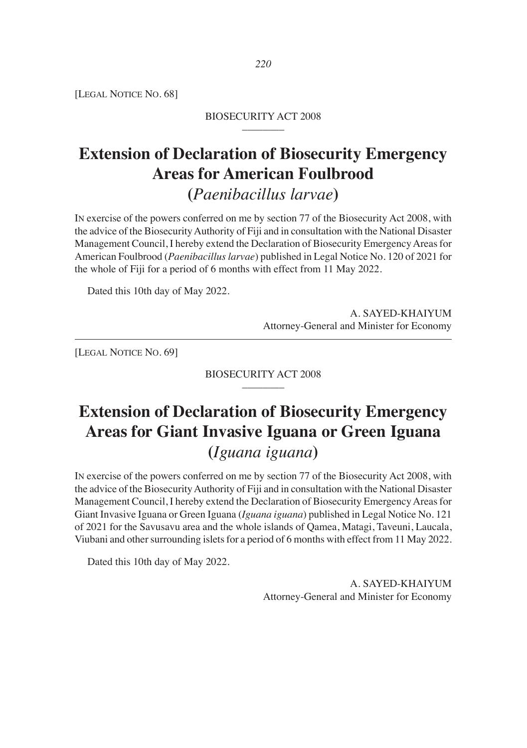[LEGAL NOTICE NO. 68]

#### BIOSECURITY ACT 2008 \_\_\_\_\_\_\_\_

## **Extension of Declaration of Biosecurity Emergency Areas for American Foulbrood (***Paenibacillus larvae***)**

IN exercise of the powers conferred on me by section 77 of the Biosecurity Act 2008, with the advice of the Biosecurity Authority of Fiji and in consultation with the National Disaster Management Council, I hereby extend the Declaration of Biosecurity Emergency Areas for American Foulbrood (*Paenibacillus larvae*) published in Legal Notice No. 120 of 2021 for the whole of Fiji for a period of 6 months with effect from 11 May 2022.

Dated this 10th day of May 2022.

 A. SAYED-KHAIYUM Attorney-General and Minister for Economy

[LEGAL NOTICE NO. 69]

#### BIOSECURITY ACT 2008 \_\_\_\_\_\_\_\_

## **Extension of Declaration of Biosecurity Emergency Areas for Giant Invasive Iguana or Green Iguana (***Iguana iguana***)**

IN exercise of the powers conferred on me by section 77 of the Biosecurity Act 2008, with the advice of the Biosecurity Authority of Fiji and in consultation with the National Disaster Management Council, I hereby extend the Declaration of Biosecurity Emergency Areas for Giant Invasive Iguana or Green Iguana (*Iguana iguana*) published in Legal Notice No. 121 of 2021 for the Savusavu area and the whole islands of Qamea, Matagi, Taveuni, Laucala, Viubani and other surrounding islets for a period of 6 months with effect from 11 May 2022.

Dated this 10th day of May 2022.

 A. SAYED-KHAIYUM Attorney-General and Minister for Economy